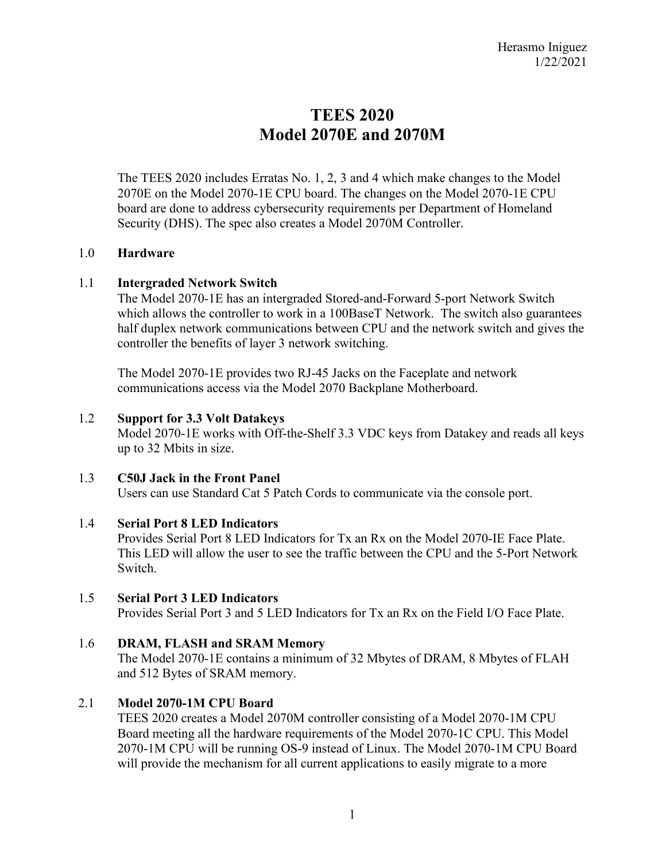# **TEES 2020 Model 2070E and 2070M**

The TEES 2020 includes Erratas No. 1, 2, 3 and 4 which make changes to the Model 2070E on the Model 2070-1E CPU board. The changes on the Model 2070-1E CPU board are done to address cybersecurity requirements per Department of Homeland Security (DHS). The spec also creates a Model 2070M Controller.

## 1.0 **Hardware**

## 1.1 **Intergraded Network Switch**

The Model 2070-1E has an intergraded Stored-and-Forward 5-port Network Switch which allows the controller to work in a 100BaseT Network. The switch also guarantees half duplex network communications between CPU and the network switch and gives the controller the benefits of layer 3 network switching.

The Model 2070-1E provides two RJ-45 Jacks on the Faceplate and network communications access via the Model 2070 Backplane Motherboard.

#### 1.2 **Support for 3.3 Volt Datakeys**

Model 2070-1E works with Off-the-Shelf 3.3 VDC keys from Datakey and reads all keys up to 32 Mbits in size.

## 1.3 **C50J Jack in the Front Panel**

Users can use Standard Cat 5 Patch Cords to communicate via the console port.

## 1.4 **Serial Port 8 LED Indicators**

Provides Serial Port 8 LED Indicators for Tx an Rx on the Model 2070-IE Face Plate. This LED will allow the user to see the traffic between the CPU and the 5-Port Network Switch.

## 1.5 **Serial Port 3 LED Indicators**

Provides Serial Port 3 and 5 LED Indicators for Tx an Rx on the Field I/O Face Plate.

## 1.6 **DRAM, FLASH and SRAM Memory**

The Model 2070-1E contains a minimum of 32 Mbytes of DRAM, 8 Mbytes of FLAH and 512 Bytes of SRAM memory.

## 2.1 **Model 2070-1M CPU Board**

TEES 2020 creates a Model 2070M controller consisting of a Model 2070-1M CPU Board meeting all the hardware requirements of the Model 2070-1C CPU. This Model 2070-1M CPU will be running OS-9 instead of Linux. The Model 2070-1M CPU Board will provide the mechanism for all current applications to easily migrate to a more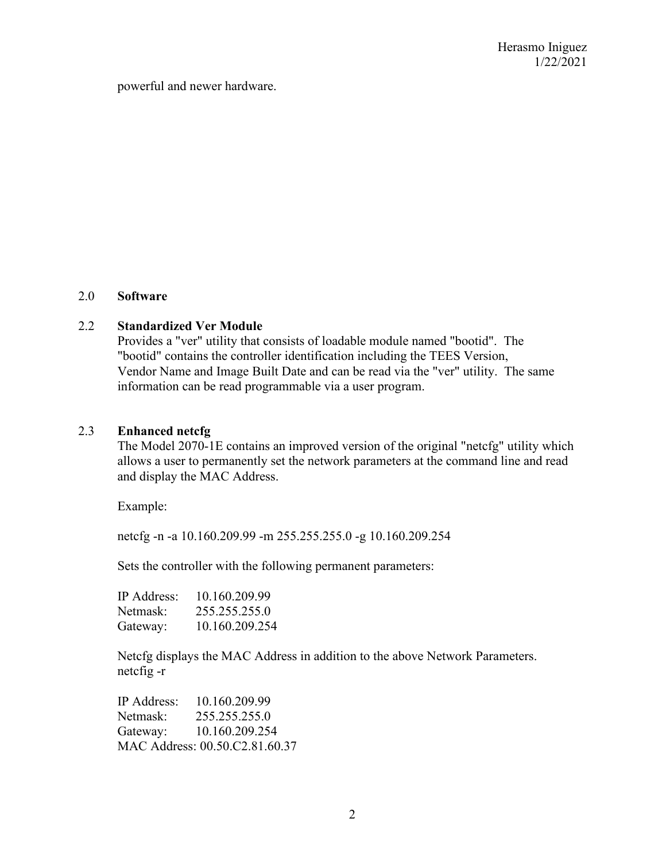powerful and newer hardware.

#### 2.0 **Software**

#### 2.2 **Standardized Ver Module**

Provides a "ver" utility that consists of loadable module named "bootid". The "bootid" contains the controller identification including the TEES Version, Vendor Name and Image Built Date and can be read via the "ver" utility. The same information can be read programmable via a user program.

## 2.3 **Enhanced netcfg**

The Model 2070-1E contains an improved version of the original "netcfg" utility which allows a user to permanently set the network parameters at the command line and read and display the MAC Address.

Example:

netcfg -n -a 10.160.209.99 -m 255.255.255.0 -g 10.160.209.254

Sets the controller with the following permanent parameters:

| <b>IP</b> Address: | 10.160.209.99  |
|--------------------|----------------|
| Netmask:           | 255.255.255.0  |
| Gateway:           | 10.160.209.254 |

Netcfg displays the MAC Address in addition to the above Network Parameters. netcfig -r

IP Address: 10.160.209.99 Netmask: 255.255.255.0 Gateway: 10.160.209.254 MAC Address: 00.50.C2.81.60.37